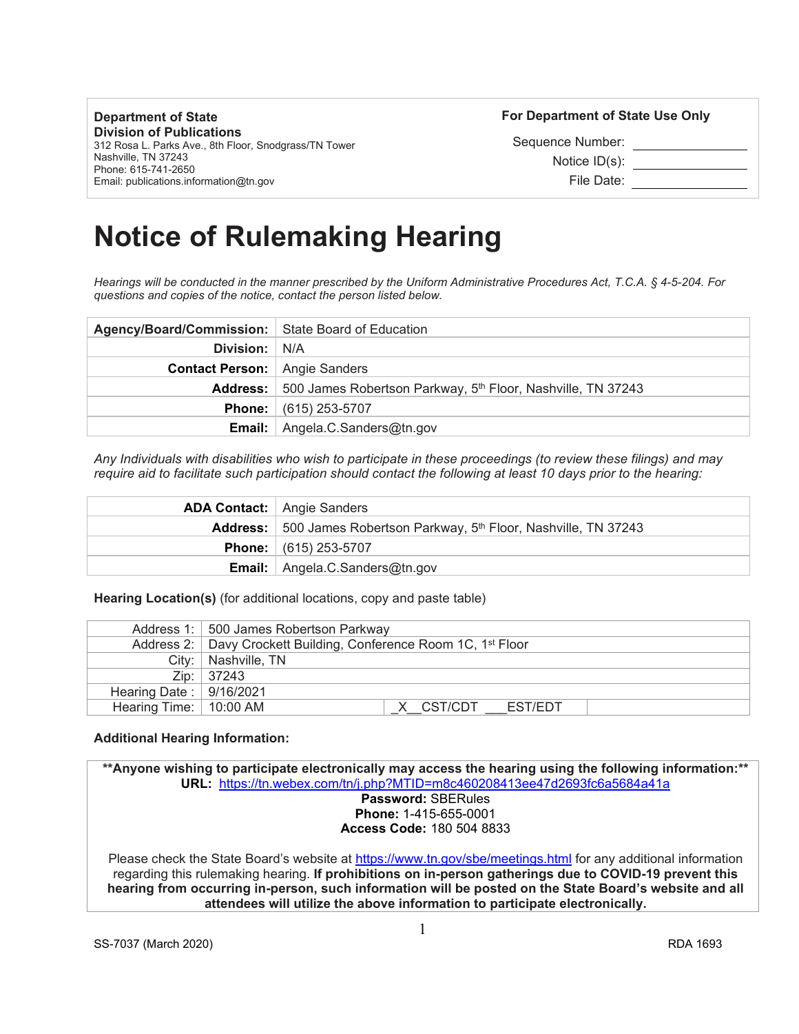**Department of State Division of Publications** 312 Rosa L. Parks Ave., 8th Floor, Snodgrass/TN Tower

Nashville, TN 37243 Phone: 615-741-2650 Email: publications.information@tn.gov **For Department of State Use Only** 

Sequence Number: Notice ID(s): File Date:

# **Notice of Rulemaking Hearing**

*Hearings will be conducted in the manner prescribed by the Uniform Administrative Procedures Act, T.C.A. § 4-5-204. For questions and copies of the notice, contact the person listed below.*

| Agency/Board/Commission:   State Board of Education |                                                                                  |
|-----------------------------------------------------|----------------------------------------------------------------------------------|
| Division: N/A                                       |                                                                                  |
| <b>Contact Person:</b> Angie Sanders                |                                                                                  |
|                                                     | Address: 500 James Robertson Parkway, 5 <sup>th</sup> Floor, Nashville, TN 37243 |
|                                                     | <b>Phone:</b> $(615)$ 253-5707                                                   |
|                                                     | <b>Email:</b> $\vert$ Angela.C.Sanders@tn.gov                                    |

*Any Individuals with disabilities who wish to participate in these proceedings (to review these filings) and may require aid to facilitate such participation should contact the following at least 10 days prior to the hearing:*

| <b>ADA Contact:</b> Angie Sanders                                                       |
|-----------------------------------------------------------------------------------------|
| <b>Address:</b> 500 James Robertson Parkway, 5 <sup>th</sup> Floor, Nashville, TN 37243 |
| <b>Phone:</b> $(615)$ 253-5707                                                          |
| <b>Email:</b> $\bigcap$ Angela.C.Sanders@tn.gov                                         |

**Hearing Location(s)** (for additional locations, copy and paste table)

|                                   | Address 1: 500 James Robertson Parkway                                         |
|-----------------------------------|--------------------------------------------------------------------------------|
|                                   | Address 2:   Davy Crockett Building, Conference Room 1C, 1 <sup>st</sup> Floor |
|                                   | City:   Nashville, TN                                                          |
|                                   | Zip:   37243                                                                   |
| Hearing Date: $\frac{9}{16/2021}$ |                                                                                |
| Hearing Time:   10:00 AM          | X CST/CDT<br>EST/EDT                                                           |

## **Additional Hearing Information:**

**\*\*Anyone wishing to participate electronically may access the hearing using the following information:\*\* URL:** <https://tn.webex.com/tn/j.php?MTID=m8c460208413ee47d2693fc6a5684a41a> **Password:** SBERules **Phone:** 1-415-655-0001 **Access Code:** 180 504 8833

Please check the State Board's website at <https://www.tn.gov/sbe/meetings.html> for any additional information regarding this rulemaking hearing. **If prohibitions on in-person gatherings due to COVID-19 prevent this hearing from occurring in-person, such information will be posted on the State Board's website and all attendees will utilize the above information to participate electronically.**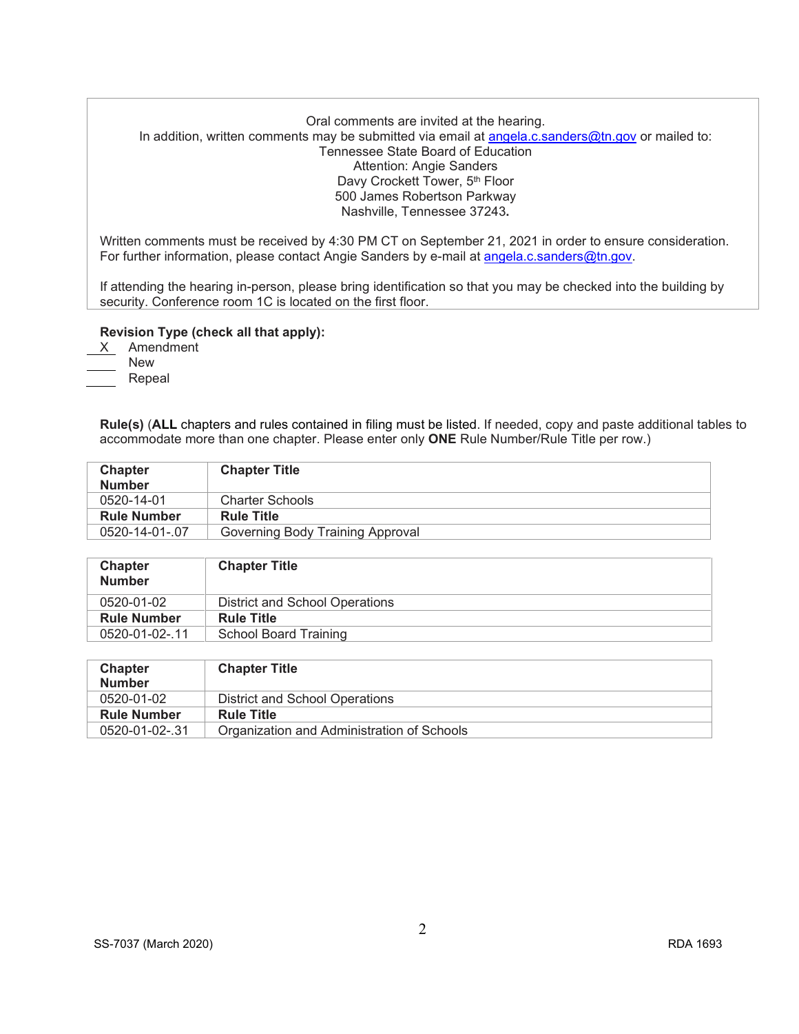# Oral comments are invited at the hearing. In addition, written comments may be submitted via email at [angela.c.sanders@tn.gov](mailto:angela.c.sanders@tn.gov) or mailed to: Tennessee State Board of Education Attention: Angie Sanders Davy Crockett Tower, 5<sup>th</sup> Floor 500 James Robertson Parkway Nashville, Tennessee 37243**.**

Written comments must be received by 4:30 PM CT on September 21, 2021 in order to ensure consideration. For further information, please contact Angie Sanders by e-mail at [angela.c.sanders@tn.gov.](mailto:angela.c.sanders@tn.gov)

If attending the hearing in-person, please bring identification so that you may be checked into the building by security. Conference room 1C is located on the first floor.

## **Revision Type (check all that apply):**

X Amendment

New

Repeal

**Rule(s)** (**ALL** chapters and rules contained in filing must be listed. If needed, copy and paste additional tables to accommodate more than one chapter. Please enter only **ONE** Rule Number/Rule Title per row.)

| Chapter            | <b>Chapter Title</b>             |
|--------------------|----------------------------------|
| <b>Number</b>      |                                  |
| 0520-14-01         | <b>Charter Schools</b>           |
| <b>Rule Number</b> | <b>Rule Title</b>                |
| 0520-14-01-.07     | Governing Body Training Approval |

| <b>Chapter</b><br><b>Number</b> | <b>Chapter Title</b>           |
|---------------------------------|--------------------------------|
| 0520-01-02                      | District and School Operations |
| <b>Rule Number</b>              | <b>Rule Title</b>              |
| 0520-01-02-.11                  | School Board Training          |

| <b>Chapter</b>     | <b>Chapter Title</b>                       |
|--------------------|--------------------------------------------|
| <b>Number</b>      |                                            |
| 0520-01-02         | District and School Operations             |
| <b>Rule Number</b> | <b>Rule Title</b>                          |
| 0520-01-02-.31     | Organization and Administration of Schools |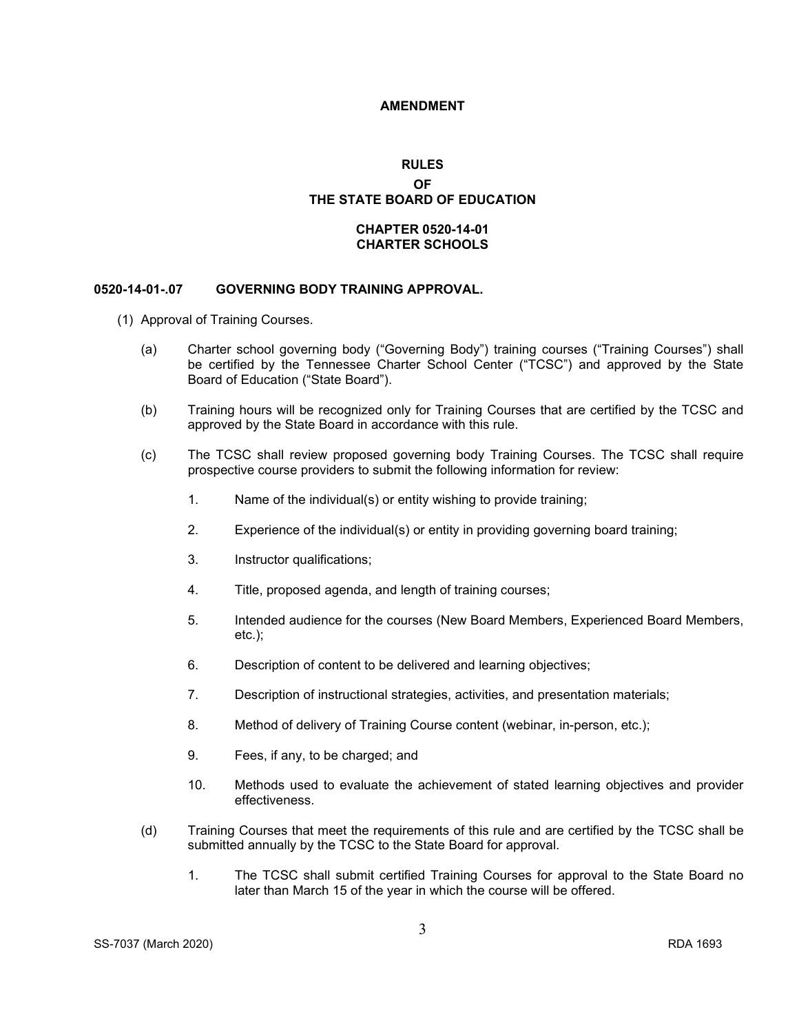#### **AMENDMENT**

# **RULES OF THE STATE BOARD OF EDUCATION**

## **CHAPTER 0520-14-01 CHARTER SCHOOLS**

## **0520-14-01-.07 GOVERNING BODY TRAINING APPROVAL.**

- (1) Approval of Training Courses.
	- (a) Charter school governing body ("Governing Body") training courses ("Training Courses") shall be certified by the Tennessee Charter School Center ("TCSC") and approved by the State Board of Education ("State Board").
	- (b) Training hours will be recognized only for Training Courses that are certified by the TCSC and approved by the State Board in accordance with this rule.
	- (c) The TCSC shall review proposed governing body Training Courses. The TCSC shall require prospective course providers to submit the following information for review:
		- 1. Name of the individual(s) or entity wishing to provide training;
		- 2. Experience of the individual(s) or entity in providing governing board training;
		- 3. Instructor qualifications;
		- 4. Title, proposed agenda, and length of training courses;
		- 5. Intended audience for the courses (New Board Members, Experienced Board Members, etc.);
		- 6. Description of content to be delivered and learning objectives;
		- 7. Description of instructional strategies, activities, and presentation materials;
		- 8. Method of delivery of Training Course content (webinar, in-person, etc.);
		- 9. Fees, if any, to be charged; and
		- 10. Methods used to evaluate the achievement of stated learning objectives and provider effectiveness.
	- (d) Training Courses that meet the requirements of this rule and are certified by the TCSC shall be submitted annually by the TCSC to the State Board for approval.
		- 1. The TCSC shall submit certified Training Courses for approval to the State Board no later than March 15 of the year in which the course will be offered.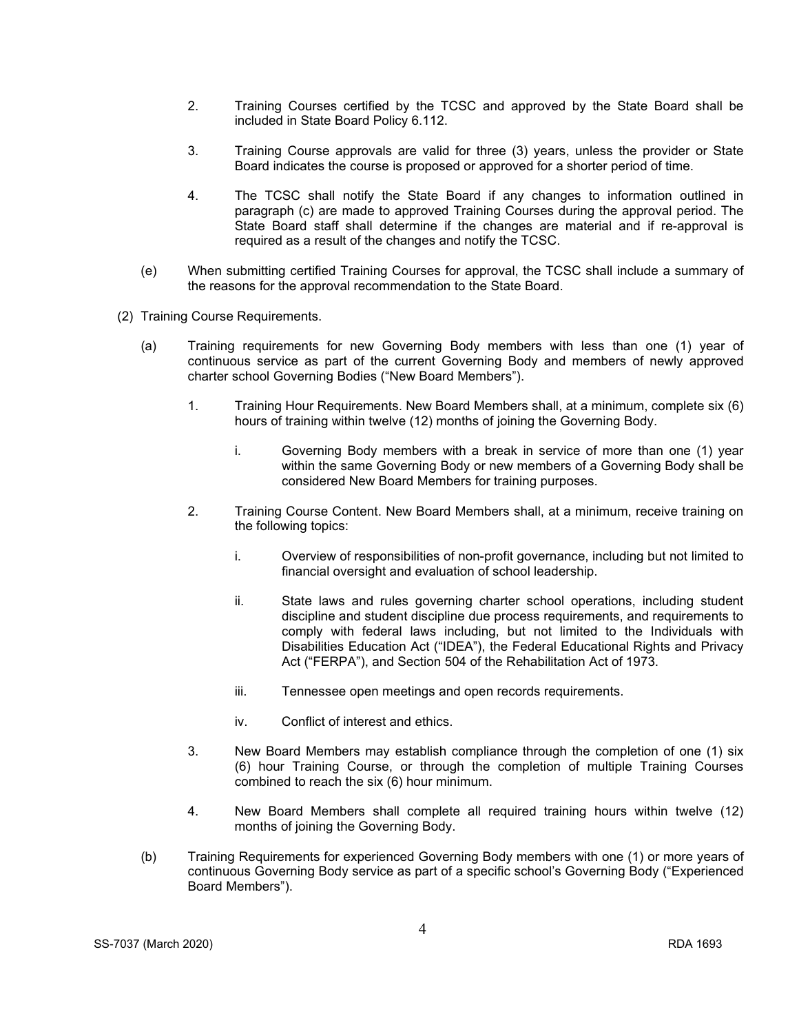- 2. Training Courses certified by the TCSC and approved by the State Board shall be included in State Board Policy 6.112.
- 3. Training Course approvals are valid for three (3) years, unless the provider or State Board indicates the course is proposed or approved for a shorter period of time.
- 4. The TCSC shall notify the State Board if any changes to information outlined in paragraph (c) are made to approved Training Courses during the approval period. The State Board staff shall determine if the changes are material and if re-approval is required as a result of the changes and notify the TCSC.
- (e) When submitting certified Training Courses for approval, the TCSC shall include a summary of the reasons for the approval recommendation to the State Board.
- (2) Training Course Requirements.
	- (a) Training requirements for new Governing Body members with less than one (1) year of continuous service as part of the current Governing Body and members of newly approved charter school Governing Bodies ("New Board Members").
		- 1. Training Hour Requirements. New Board Members shall, at a minimum, complete six (6) hours of training within twelve (12) months of joining the Governing Body.
			- i. Governing Body members with a break in service of more than one (1) year within the same Governing Body or new members of a Governing Body shall be considered New Board Members for training purposes.
		- 2. Training Course Content. New Board Members shall, at a minimum, receive training on the following topics:
			- i. Overview of responsibilities of non-profit governance, including but not limited to financial oversight and evaluation of school leadership.
			- ii. State laws and rules governing charter school operations, including student discipline and student discipline due process requirements, and requirements to comply with federal laws including, but not limited to the Individuals with Disabilities Education Act ("IDEA"), the Federal Educational Rights and Privacy Act ("FERPA"), and Section 504 of the Rehabilitation Act of 1973.
			- iii. Tennessee open meetings and open records requirements.
			- iv. Conflict of interest and ethics.
		- 3. New Board Members may establish compliance through the completion of one (1) six (6) hour Training Course, or through the completion of multiple Training Courses combined to reach the six (6) hour minimum.
		- 4. New Board Members shall complete all required training hours within twelve (12) months of joining the Governing Body.
	- (b) Training Requirements for experienced Governing Body members with one (1) or more years of continuous Governing Body service as part of a specific school's Governing Body ("Experienced Board Members").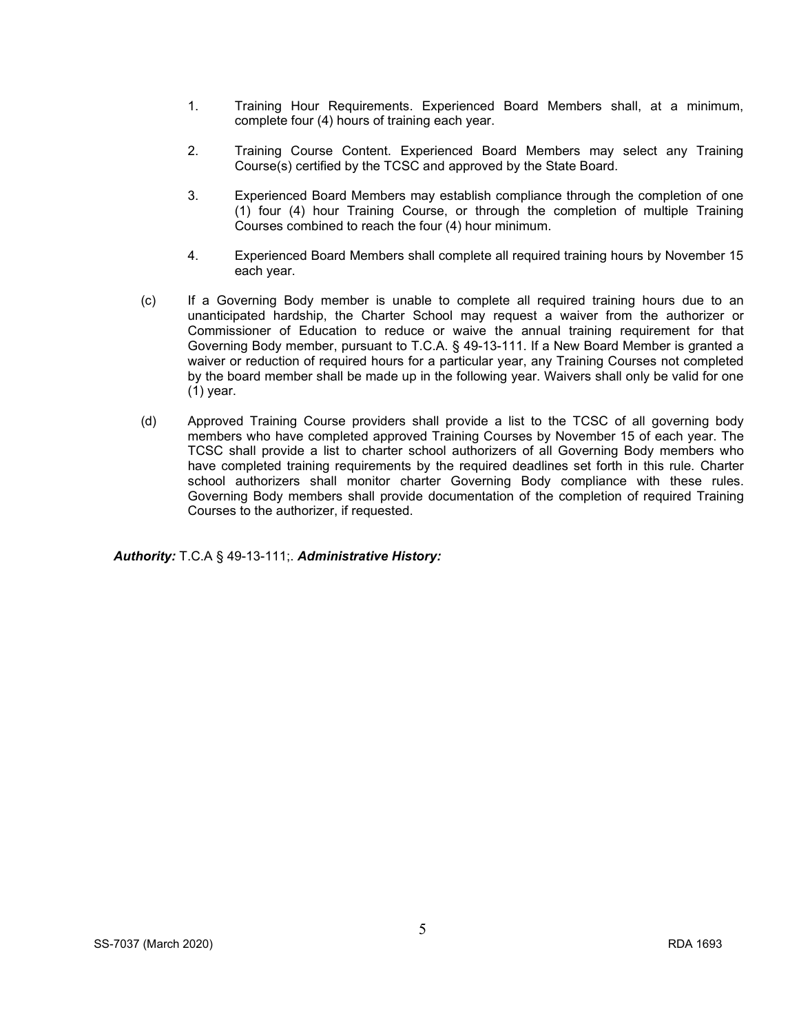- 1. Training Hour Requirements. Experienced Board Members shall, at a minimum, complete four (4) hours of training each year.
- 2. Training Course Content. Experienced Board Members may select any Training Course(s) certified by the TCSC and approved by the State Board.
- 3. Experienced Board Members may establish compliance through the completion of one (1) four (4) hour Training Course, or through the completion of multiple Training Courses combined to reach the four (4) hour minimum.
- 4. Experienced Board Members shall complete all required training hours by November 15 each year.
- (c) If a Governing Body member is unable to complete all required training hours due to an unanticipated hardship, the Charter School may request a waiver from the authorizer or Commissioner of Education to reduce or waive the annual training requirement for that Governing Body member, pursuant to T.C.A. § 49-13-111. If a New Board Member is granted a waiver or reduction of required hours for a particular year, any Training Courses not completed by the board member shall be made up in the following year. Waivers shall only be valid for one (1) year.
- (d) Approved Training Course providers shall provide a list to the TCSC of all governing body members who have completed approved Training Courses by November 15 of each year. The TCSC shall provide a list to charter school authorizers of all Governing Body members who have completed training requirements by the required deadlines set forth in this rule. Charter school authorizers shall monitor charter Governing Body compliance with these rules. Governing Body members shall provide documentation of the completion of required Training Courses to the authorizer, if requested.

*Authority:* T.C.A § 49-13-111;. *Administrative History:*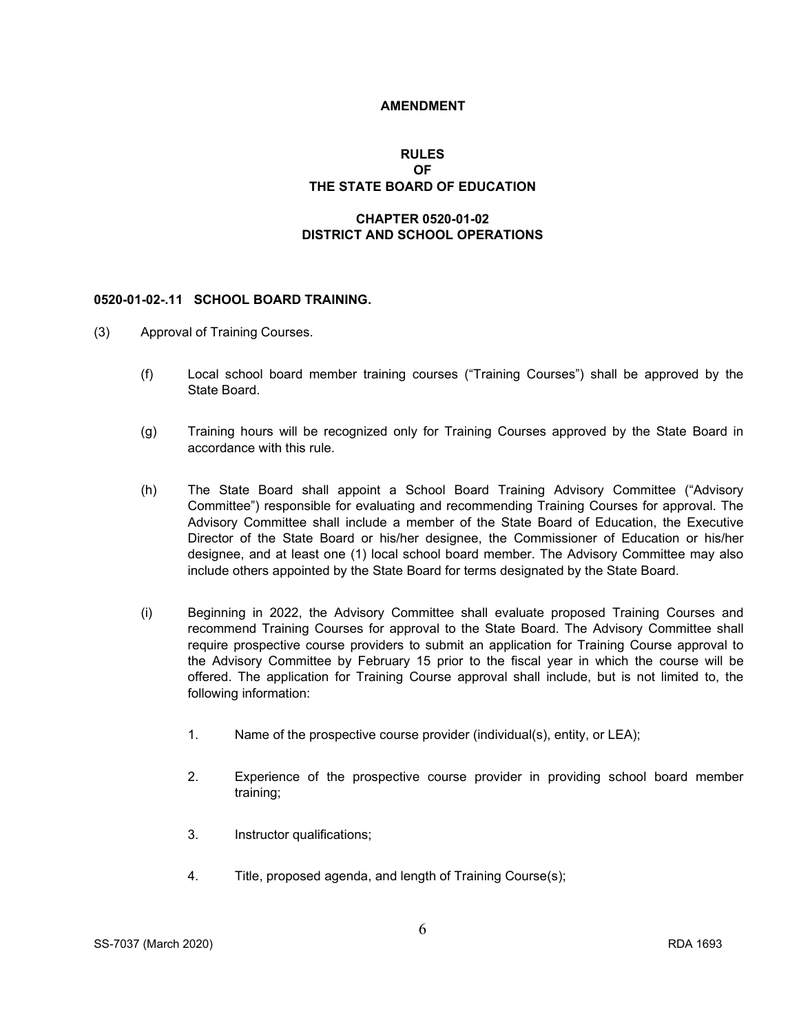#### **AMENDMENT**

# **RULES OF THE STATE BOARD OF EDUCATION**

# **CHAPTER 0520-01-02 DISTRICT AND SCHOOL OPERATIONS**

#### **0520-01-02-.11 SCHOOL BOARD TRAINING.**

- (3) Approval of Training Courses.
	- (f) Local school board member training courses ("Training Courses") shall be approved by the State Board.
	- (g) Training hours will be recognized only for Training Courses approved by the State Board in accordance with this rule.
	- (h) The State Board shall appoint a School Board Training Advisory Committee ("Advisory Committee") responsible for evaluating and recommending Training Courses for approval. The Advisory Committee shall include a member of the State Board of Education, the Executive Director of the State Board or his/her designee, the Commissioner of Education or his/her designee, and at least one (1) local school board member. The Advisory Committee may also include others appointed by the State Board for terms designated by the State Board.
	- (i) Beginning in 2022, the Advisory Committee shall evaluate proposed Training Courses and recommend Training Courses for approval to the State Board. The Advisory Committee shall require prospective course providers to submit an application for Training Course approval to the Advisory Committee by February 15 prior to the fiscal year in which the course will be offered. The application for Training Course approval shall include, but is not limited to, the following information:
		- 1. Name of the prospective course provider (individual(s), entity, or LEA);
		- 2. Experience of the prospective course provider in providing school board member training;
		- 3. Instructor qualifications;
		- 4. Title, proposed agenda, and length of Training Course(s);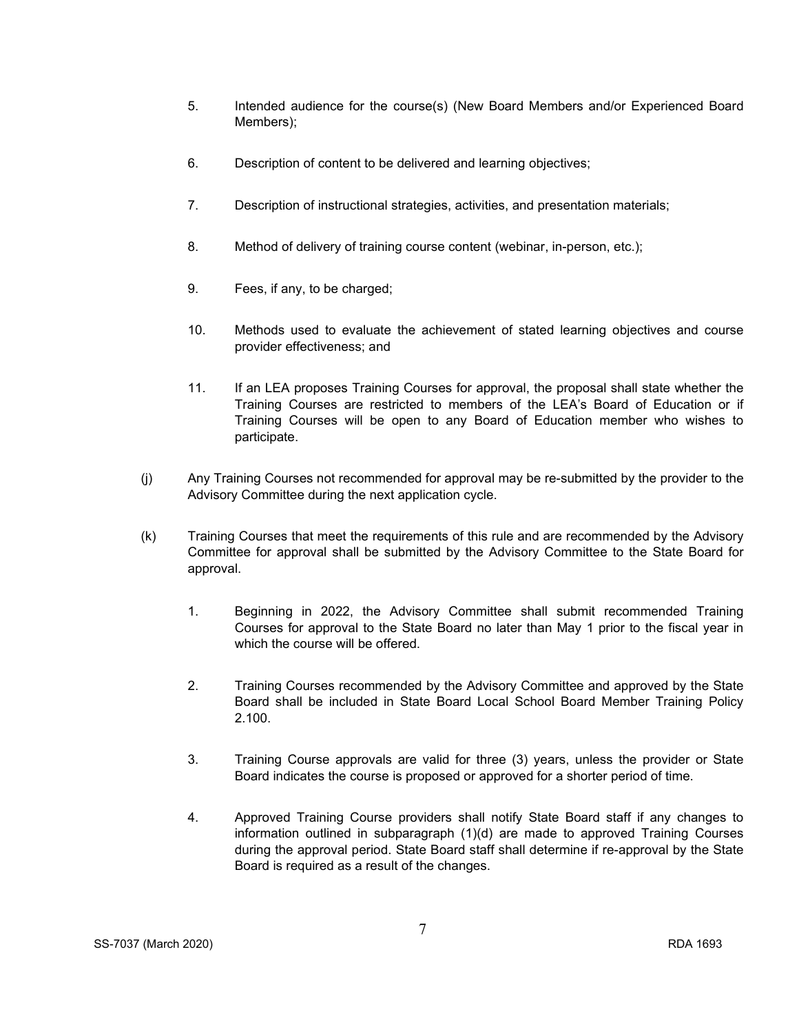- 5. Intended audience for the course(s) (New Board Members and/or Experienced Board Members);
- 6. Description of content to be delivered and learning objectives;
- 7. Description of instructional strategies, activities, and presentation materials;
- 8. Method of delivery of training course content (webinar, in-person, etc.);
- 9. Fees, if any, to be charged;
- 10. Methods used to evaluate the achievement of stated learning objectives and course provider effectiveness; and
- 11. If an LEA proposes Training Courses for approval, the proposal shall state whether the Training Courses are restricted to members of the LEA's Board of Education or if Training Courses will be open to any Board of Education member who wishes to participate.
- (j) Any Training Courses not recommended for approval may be re-submitted by the provider to the Advisory Committee during the next application cycle.
- (k) Training Courses that meet the requirements of this rule and are recommended by the Advisory Committee for approval shall be submitted by the Advisory Committee to the State Board for approval.
	- 1. Beginning in 2022, the Advisory Committee shall submit recommended Training Courses for approval to the State Board no later than May 1 prior to the fiscal year in which the course will be offered.
	- 2. Training Courses recommended by the Advisory Committee and approved by the State Board shall be included in State Board Local School Board Member Training Policy 2.100.
	- 3. Training Course approvals are valid for three (3) years, unless the provider or State Board indicates the course is proposed or approved for a shorter period of time.
	- 4. Approved Training Course providers shall notify State Board staff if any changes to information outlined in subparagraph (1)(d) are made to approved Training Courses during the approval period. State Board staff shall determine if re-approval by the State Board is required as a result of the changes.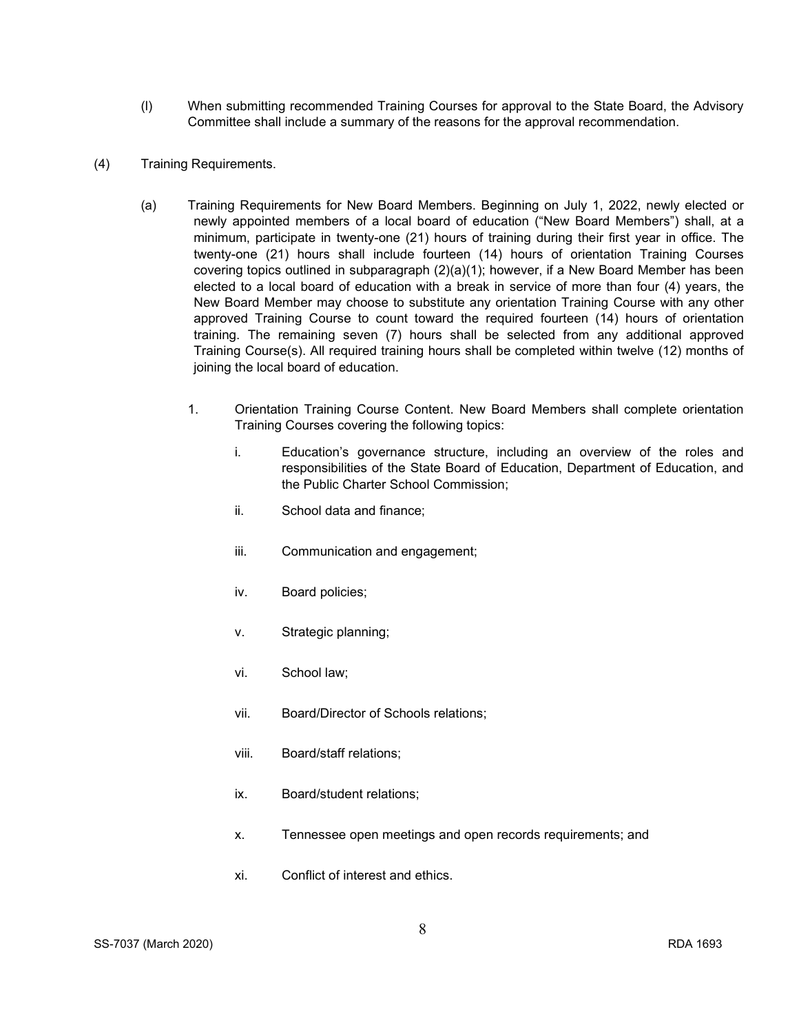- (l) When submitting recommended Training Courses for approval to the State Board, the Advisory Committee shall include a summary of the reasons for the approval recommendation.
- (4) Training Requirements.
	- (a) Training Requirements for New Board Members. Beginning on July 1, 2022, newly elected or newly appointed members of a local board of education ("New Board Members") shall, at a minimum, participate in twenty-one (21) hours of training during their first year in office. The twenty-one (21) hours shall include fourteen (14) hours of orientation Training Courses covering topics outlined in subparagraph (2)(a)(1); however, if a New Board Member has been elected to a local board of education with a break in service of more than four (4) years, the New Board Member may choose to substitute any orientation Training Course with any other approved Training Course to count toward the required fourteen (14) hours of orientation training. The remaining seven (7) hours shall be selected from any additional approved Training Course(s). All required training hours shall be completed within twelve (12) months of joining the local board of education.
		- 1. Orientation Training Course Content. New Board Members shall complete orientation Training Courses covering the following topics:
			- i. Education's governance structure, including an overview of the roles and responsibilities of the State Board of Education, Department of Education, and the Public Charter School Commission;
			- ii. School data and finance;
			- iii. Communication and engagement;
			- iv. Board policies;
			- v. Strategic planning;
			- vi. School law;
			- vii. Board/Director of Schools relations;
			- viii. Board/staff relations;
			- ix. Board/student relations;
			- x. Tennessee open meetings and open records requirements; and
			- xi. Conflict of interest and ethics.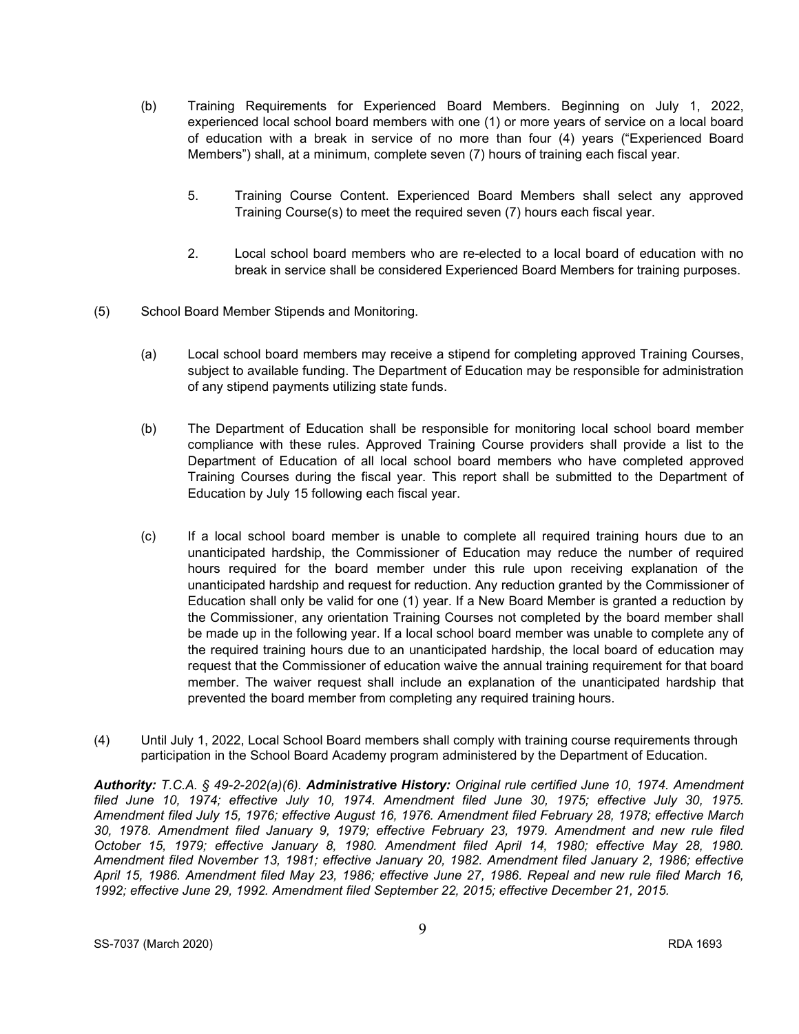- (b) Training Requirements for Experienced Board Members. Beginning on July 1, 2022, experienced local school board members with one (1) or more years of service on a local board of education with a break in service of no more than four (4) years ("Experienced Board Members") shall, at a minimum, complete seven (7) hours of training each fiscal year.
	- 5. Training Course Content. Experienced Board Members shall select any approved Training Course(s) to meet the required seven (7) hours each fiscal year.
	- 2. Local school board members who are re-elected to a local board of education with no break in service shall be considered Experienced Board Members for training purposes.
- (5) School Board Member Stipends and Monitoring.
	- (a) Local school board members may receive a stipend for completing approved Training Courses, subject to available funding. The Department of Education may be responsible for administration of any stipend payments utilizing state funds.
	- (b) The Department of Education shall be responsible for monitoring local school board member compliance with these rules. Approved Training Course providers shall provide a list to the Department of Education of all local school board members who have completed approved Training Courses during the fiscal year. This report shall be submitted to the Department of Education by July 15 following each fiscal year.
	- (c) If a local school board member is unable to complete all required training hours due to an unanticipated hardship, the Commissioner of Education may reduce the number of required hours required for the board member under this rule upon receiving explanation of the unanticipated hardship and request for reduction. Any reduction granted by the Commissioner of Education shall only be valid for one (1) year. If a New Board Member is granted a reduction by the Commissioner, any orientation Training Courses not completed by the board member shall be made up in the following year. If a local school board member was unable to complete any of the required training hours due to an unanticipated hardship, the local board of education may request that the Commissioner of education waive the annual training requirement for that board member. The waiver request shall include an explanation of the unanticipated hardship that prevented the board member from completing any required training hours.
- (4) Until July 1, 2022, Local School Board members shall comply with training course requirements through participation in the School Board Academy program administered by the Department of Education.

*Authority: T.C.A. § 49-2-202(a)(6). Administrative History: Original rule certified June 10, 1974. Amendment filed June 10, 1974; effective July 10, 1974. Amendment filed June 30, 1975; effective July 30, 1975. Amendment filed July 15, 1976; effective August 16, 1976. Amendment filed February 28, 1978; effective March 30, 1978. Amendment filed January 9, 1979; effective February 23, 1979. Amendment and new rule filed October 15, 1979; effective January 8, 1980. Amendment filed April 14, 1980; effective May 28, 1980. Amendment filed November 13, 1981; effective January 20, 1982. Amendment filed January 2, 1986; effective April 15, 1986. Amendment filed May 23, 1986; effective June 27, 1986. Repeal and new rule filed March 16, 1992; effective June 29, 1992. Amendment filed September 22, 2015; effective December 21, 2015.*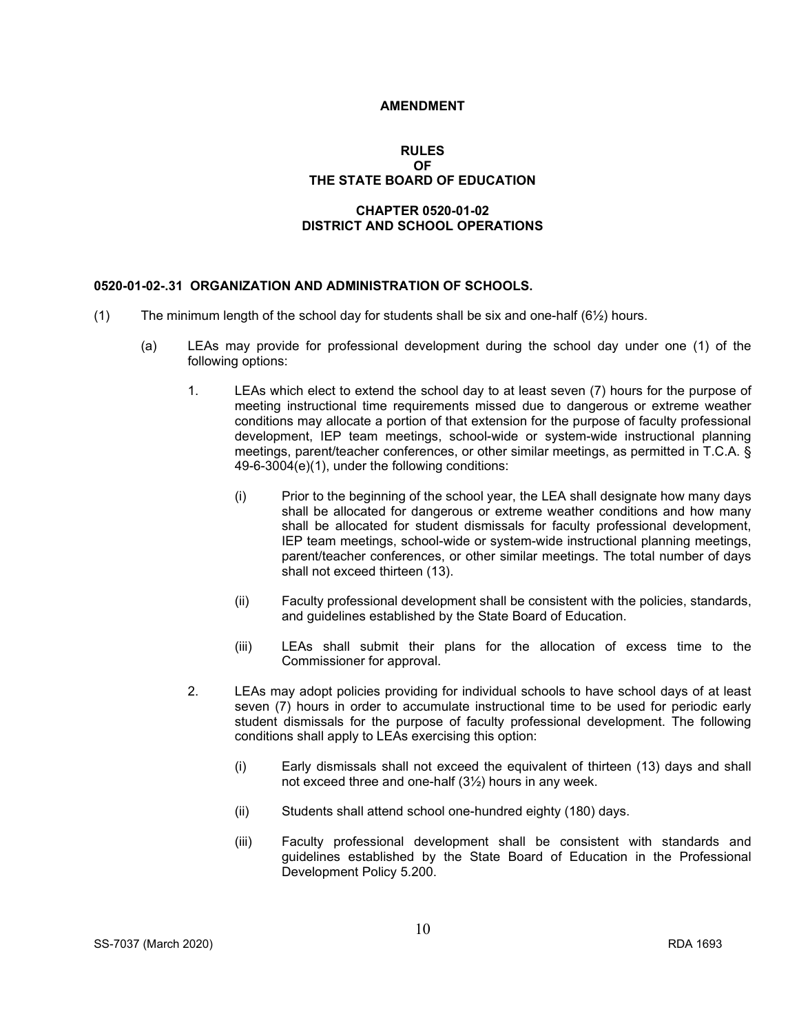#### **AMENDMENT**

#### **RULES OF THE STATE BOARD OF EDUCATION**

## **CHAPTER 0520-01-02 DISTRICT AND SCHOOL OPERATIONS**

#### **0520-01-02-.31 ORGANIZATION AND ADMINISTRATION OF SCHOOLS.**

- (1) The minimum length of the school day for students shall be six and one-half  $(6\frac{1}{2})$  hours.
	- (a) LEAs may provide for professional development during the school day under one (1) of the following options:
		- 1. LEAs which elect to extend the school day to at least seven (7) hours for the purpose of meeting instructional time requirements missed due to dangerous or extreme weather conditions may allocate a portion of that extension for the purpose of faculty professional development, IEP team meetings, school-wide or system-wide instructional planning meetings, parent/teacher conferences, or other similar meetings, as permitted in T.C.A. § 49-6-3004(e)(1), under the following conditions:
			- (i) Prior to the beginning of the school year, the LEA shall designate how many days shall be allocated for dangerous or extreme weather conditions and how many shall be allocated for student dismissals for faculty professional development, IEP team meetings, school-wide or system-wide instructional planning meetings, parent/teacher conferences, or other similar meetings. The total number of days shall not exceed thirteen (13).
			- (ii) Faculty professional development shall be consistent with the policies, standards, and guidelines established by the State Board of Education.
			- (iii) LEAs shall submit their plans for the allocation of excess time to the Commissioner for approval.
		- 2. LEAs may adopt policies providing for individual schools to have school days of at least seven (7) hours in order to accumulate instructional time to be used for periodic early student dismissals for the purpose of faculty professional development. The following conditions shall apply to LEAs exercising this option:
			- (i) Early dismissals shall not exceed the equivalent of thirteen (13) days and shall not exceed three and one-half (3½) hours in any week.
			- (ii) Students shall attend school one-hundred eighty (180) days.
			- (iii) Faculty professional development shall be consistent with standards and guidelines established by the State Board of Education in the Professional Development Policy 5.200.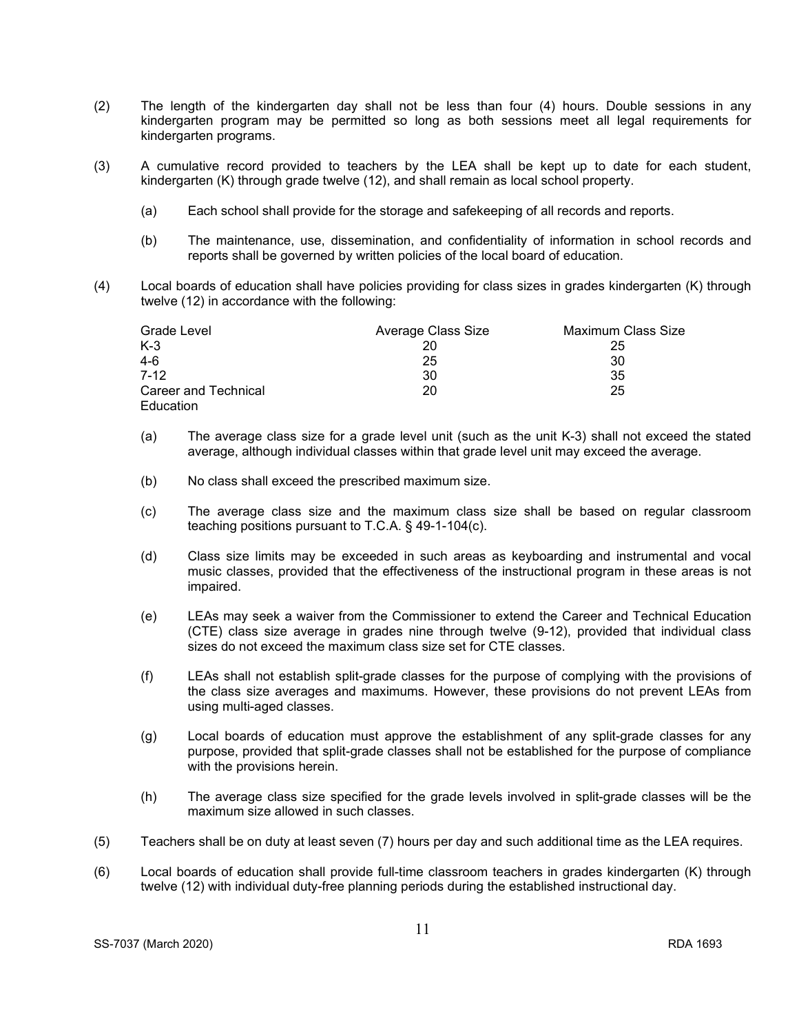- (2) The length of the kindergarten day shall not be less than four (4) hours. Double sessions in any kindergarten program may be permitted so long as both sessions meet all legal requirements for kindergarten programs.
- (3) A cumulative record provided to teachers by the LEA shall be kept up to date for each student, kindergarten (K) through grade twelve (12), and shall remain as local school property.
	- (a) Each school shall provide for the storage and safekeeping of all records and reports.
	- (b) The maintenance, use, dissemination, and confidentiality of information in school records and reports shall be governed by written policies of the local board of education.
- (4) Local boards of education shall have policies providing for class sizes in grades kindergarten (K) through twelve (12) in accordance with the following:

| Grade Level          | Average Class Size | Maximum Class Size |
|----------------------|--------------------|--------------------|
| K-3                  |                    | 25                 |
| 4-6                  | 25                 | 30                 |
| 7-12                 | 30                 | 35                 |
| Career and Technical | 20                 | 25                 |
| Education            |                    |                    |

- (a) The average class size for a grade level unit (such as the unit K-3) shall not exceed the stated average, although individual classes within that grade level unit may exceed the average.
- (b) No class shall exceed the prescribed maximum size.
- (c) The average class size and the maximum class size shall be based on regular classroom teaching positions pursuant to T.C.A. § 49-1-104(c).
- (d) Class size limits may be exceeded in such areas as keyboarding and instrumental and vocal music classes, provided that the effectiveness of the instructional program in these areas is not impaired.
- (e) LEAs may seek a waiver from the Commissioner to extend the Career and Technical Education (CTE) class size average in grades nine through twelve (9-12), provided that individual class sizes do not exceed the maximum class size set for CTE classes.
- (f) LEAs shall not establish split-grade classes for the purpose of complying with the provisions of the class size averages and maximums. However, these provisions do not prevent LEAs from using multi-aged classes.
- (g) Local boards of education must approve the establishment of any split-grade classes for any purpose, provided that split-grade classes shall not be established for the purpose of compliance with the provisions herein.
- (h) The average class size specified for the grade levels involved in split-grade classes will be the maximum size allowed in such classes.
- (5) Teachers shall be on duty at least seven (7) hours per day and such additional time as the LEA requires.
- (6) Local boards of education shall provide full-time classroom teachers in grades kindergarten (K) through twelve (12) with individual duty-free planning periods during the established instructional day.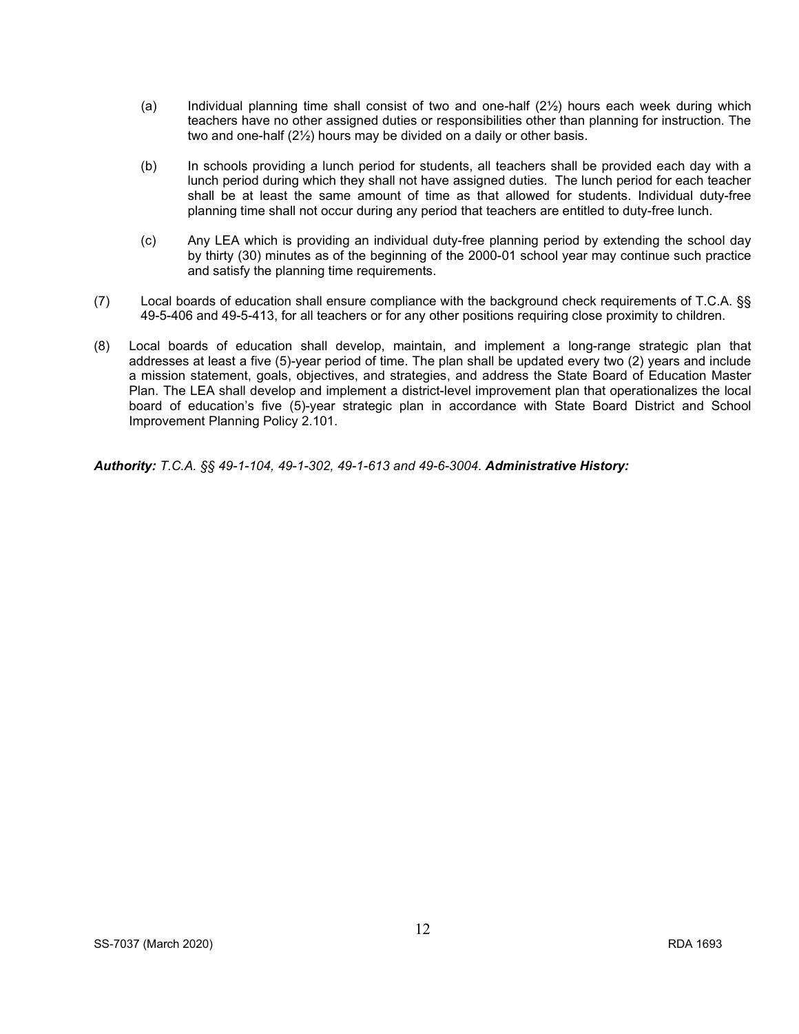- (a) Individual planning time shall consist of two and one-half (2½) hours each week during which teachers have no other assigned duties or responsibilities other than planning for instruction. The two and one-half (2½) hours may be divided on a daily or other basis.
- (b) In schools providing a lunch period for students, all teachers shall be provided each day with a lunch period during which they shall not have assigned duties. The lunch period for each teacher shall be at least the same amount of time as that allowed for students. Individual duty-free planning time shall not occur during any period that teachers are entitled to duty-free lunch.
- (c) Any LEA which is providing an individual duty-free planning period by extending the school day by thirty (30) minutes as of the beginning of the 2000-01 school year may continue such practice and satisfy the planning time requirements.
- (7) Local boards of education shall ensure compliance with the background check requirements of T.C.A. §§ 49-5-406 and 49-5-413, for all teachers or for any other positions requiring close proximity to children.
- (8) Local boards of education shall develop, maintain, and implement a long-range strategic plan that addresses at least a five (5)-year period of time. The plan shall be updated every two (2) years and include a mission statement, goals, objectives, and strategies, and address the State Board of Education Master Plan. The LEA shall develop and implement a district-level improvement plan that operationalizes the local board of education's five (5)-year strategic plan in accordance with State Board District and School Improvement Planning Policy 2.101.

*Authority: T.C.A. §§ 49-1-104, 49-1-302, 49-1-613 and 49-6-3004. Administrative History:*